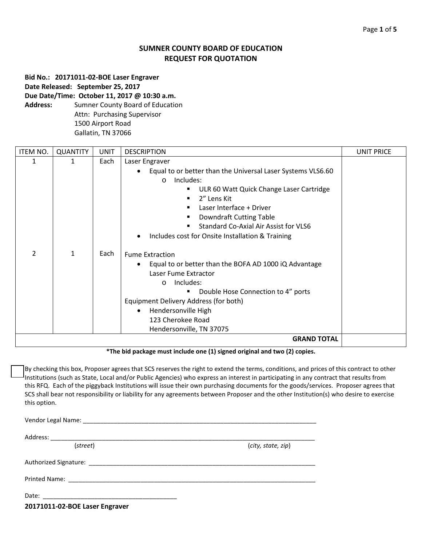# **SUMNER COUNTY BOARD OF EDUCATION REQUEST FOR QUOTATION**

**Bid No.: 20171011-02-BOE Laser Engraver Date Released: September 25, 2017 Due Date/Time: October 11, 2017 @ 10:30 a.m.**

**Address:** Sumner County Board of Education Attn: Purchasing Supervisor 1500 Airport Road Gallatin, TN 37066

| ITEM NO.           | <b>QUANTITY</b> | <b>UNIT</b> | <b>DESCRIPTION</b>                                                                                                                                                                                                                                                                                                             | <b>UNIT PRICE</b> |  |
|--------------------|-----------------|-------------|--------------------------------------------------------------------------------------------------------------------------------------------------------------------------------------------------------------------------------------------------------------------------------------------------------------------------------|-------------------|--|
| 1                  | 1               | Each        | Laser Engraver                                                                                                                                                                                                                                                                                                                 |                   |  |
|                    |                 |             | Equal to or better than the Universal Laser Systems VLS6.60<br>Includes:<br>$\circ$<br>ULR 60 Watt Quick Change Laser Cartridge<br>٠<br>2" Lens Kit<br>п<br>Laser Interface + Driver<br>Downdraft Cutting Table<br>Standard Co-Axial Air Assist for VLS6<br>$\blacksquare$<br>Includes cost for Onsite Installation & Training |                   |  |
| 2                  | $\mathbf{1}$    | Each        | <b>Fume Extraction</b><br>Equal to or better than the BOFA AD 1000 iQ Advantage<br>Laser Fume Extractor<br>Includes:<br>$\circ$<br>Double Hose Connection to 4" ports<br>٠<br>Equipment Delivery Address (for both)<br>Hendersonville High<br>123 Cherokee Road<br>Hendersonville, TN 37075                                    |                   |  |
| <b>GRAND TOTAL</b> |                 |             |                                                                                                                                                                                                                                                                                                                                |                   |  |

**\*The bid package must include one (1) signed original and two (2) copies.**

By checking this box, Proposer agrees that SCS reserves the right to extend the terms, conditions, and prices of this contract to other Institutions (such as State, Local and/or Public Agencies) who express an interest in participating in any contract that results from this RFQ. Each of the piggyback Institutions will issue their own purchasing documents for the goods/services. Proposer agrees that SCS shall bear not responsibility or liability for any agreements between Proposer and the other Institution(s) who desire to exercise this option.

Vendor Legal Name: \_\_\_\_\_\_\_\_\_\_\_\_\_\_\_\_\_\_\_\_\_\_\_\_\_\_\_\_\_\_\_\_\_\_\_\_\_\_\_\_\_\_\_\_\_\_\_\_\_\_\_\_\_\_\_\_\_\_\_\_\_\_\_\_\_\_\_\_ Address: \_\_\_\_\_\_\_\_\_\_\_\_\_\_\_\_\_\_\_\_\_\_\_\_\_\_\_\_\_\_\_\_\_\_\_\_\_\_\_\_\_\_\_\_\_\_\_\_\_\_\_\_\_\_\_\_\_\_\_\_\_\_\_\_\_\_\_\_\_\_\_\_\_\_\_\_\_ (*street*) (*city, state, zip*) Authorized Signature: \_\_\_\_\_\_\_\_\_\_\_\_\_\_\_\_\_\_\_\_\_\_\_\_\_\_\_\_\_\_\_\_\_\_\_\_\_\_\_\_\_\_\_\_\_\_\_\_\_\_\_\_\_\_\_\_\_\_\_\_\_\_\_\_\_\_ Printed Name:  $\blacksquare$ Date: \_\_\_\_\_\_\_\_\_\_\_\_\_\_\_\_\_\_\_\_\_\_\_\_\_\_\_\_\_\_\_\_\_\_\_\_\_\_\_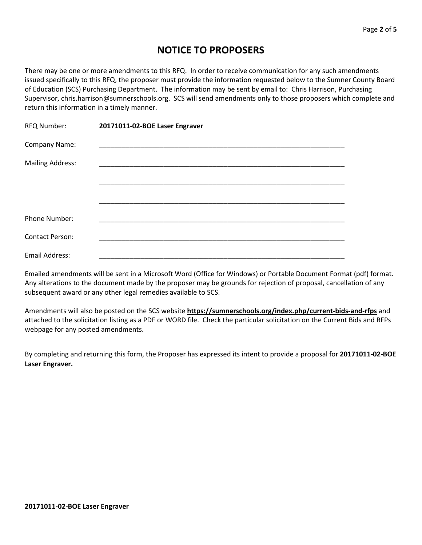# **NOTICE TO PROPOSERS**

There may be one or more amendments to this RFQ. In order to receive communication for any such amendments issued specifically to this RFQ, the proposer must provide the information requested below to the Sumner County Board of Education (SCS) Purchasing Department. The information may be sent by email to: Chris Harrison, Purchasing Supervisor, chris.harrison@sumnerschools.org. SCS will send amendments only to those proposers which complete and return this information in a timely manner.

| RFQ Number:             | 20171011-02-BOE Laser Engraver |  |
|-------------------------|--------------------------------|--|
| Company Name:           |                                |  |
| <b>Mailing Address:</b> |                                |  |
|                         |                                |  |
|                         |                                |  |
| Phone Number:           |                                |  |
| <b>Contact Person:</b>  |                                |  |
| Email Address:          |                                |  |

Emailed amendments will be sent in a Microsoft Word (Office for Windows) or Portable Document Format (pdf) format. Any alterations to the document made by the proposer may be grounds for rejection of proposal, cancellation of any subsequent award or any other legal remedies available to SCS.

Amendments will also be posted on the SCS website **https://sumnerschools.org/index.php/current-bids-and-rfps** and attached to the solicitation listing as a PDF or WORD file. Check the particular solicitation on the Current Bids and RFPs webpage for any posted amendments.

By completing and returning this form, the Proposer has expressed its intent to provide a proposal for **20171011-02-BOE Laser Engraver.**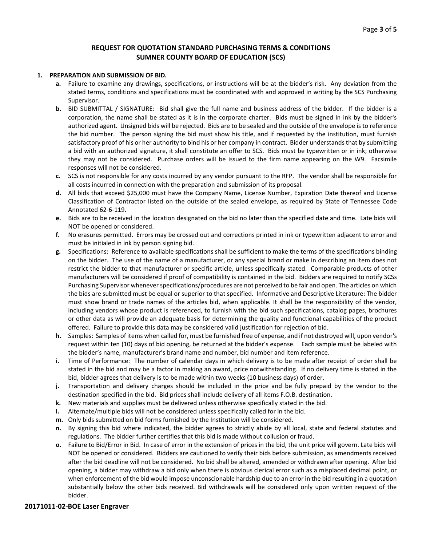# **REQUEST FOR QUOTATION STANDARD PURCHASING TERMS & CONDITIONS SUMNER COUNTY BOARD OF EDUCATION (SCS)**

#### **1. PREPARATION AND SUBMISSION OF BID.**

- **a.** Failure to examine any drawings**,** specifications, or instructions will be at the bidder's risk. Any deviation from the stated terms, conditions and specifications must be coordinated with and approved in writing by the SCS Purchasing Supervisor.
- **b.** BID SUBMITTAL / SIGNATURE: Bid shall give the full name and business address of the bidder. If the bidder is a corporation, the name shall be stated as it is in the corporate charter. Bids must be signed in ink by the bidder's authorized agent. Unsigned bids will be rejected. Bids are to be sealed and the outside of the envelope is to reference the bid number. The person signing the bid must show his title, and if requested by the institution, must furnish satisfactory proof of his or her authority to bind his or her company in contract. Bidder understands that by submitting a bid with an authorized signature, it shall constitute an offer to SCS. Bids must be typewritten or in ink; otherwise they may not be considered. Purchase orders will be issued to the firm name appearing on the W9. Facsimile responses will not be considered.
- **c.** SCS is not responsible for any costs incurred by any vendor pursuant to the RFP. The vendor shall be responsible for all costs incurred in connection with the preparation and submission of its proposal.
- **d.** All bids that exceed \$25,000 must have the Company Name, License Number, Expiration Date thereof and License Classification of Contractor listed on the outside of the sealed envelope, as required by State of Tennessee Code Annotated 62-6-119.
- **e.** Bids are to be received in the location designated on the bid no later than the specified date and time. Late bids will NOT be opened or considered.
- **f.** No erasures permitted. Errors may be crossed out and corrections printed in ink or typewritten adjacent to error and must be initialed in ink by person signing bid.
- **g.** Specifications: Reference to available specifications shall be sufficient to make the terms of the specifications binding on the bidder. The use of the name of a manufacturer, or any special brand or make in describing an item does not restrict the bidder to that manufacturer or specific article, unless specifically stated. Comparable products of other manufacturers will be considered if proof of compatibility is contained in the bid. Bidders are required to notify SCSs Purchasing Supervisor whenever specifications/procedures are not perceived to be fair and open. The articles on which the bids are submitted must be equal or superior to that specified. Informative and Descriptive Literature: The bidder must show brand or trade names of the articles bid, when applicable. It shall be the responsibility of the vendor, including vendors whose product is referenced, to furnish with the bid such specifications, catalog pages, brochures or other data as will provide an adequate basis for determining the quality and functional capabilities of the product offered. Failure to provide this data may be considered valid justification for rejection of bid.
- **h.** Samples: Samples of items when called for, must be furnished free of expense, and if not destroyed will, upon vendor's request within ten (10) days of bid opening, be returned at the bidder's expense. Each sample must be labeled with the bidder's name, manufacturer's brand name and number, bid number and item reference.
- **i.** Time of Performance: The number of calendar days in which delivery is to be made after receipt of order shall be stated in the bid and may be a factor in making an award, price notwithstanding. If no delivery time is stated in the bid, bidder agrees that delivery is to be made within two weeks (10 business days) of order.
- **j.** Transportation and delivery charges should be included in the price and be fully prepaid by the vendor to the destination specified in the bid. Bid prices shall include delivery of all items F.O.B. destination.
- **k.** New materials and supplies must be delivered unless otherwise specifically stated in the bid.
- **l.** Alternate/multiple bids will not be considered unless specifically called for in the bid.
- **m.** Only bids submitted on bid forms furnished by the Institution will be considered.
- **n.** By signing this bid where indicated, the bidder agrees to strictly abide by all local, state and federal statutes and regulations. The bidder further certifies that this bid is made without collusion or fraud.
- **o.** Failure to Bid/Error in Bid. In case of error in the extension of prices in the bid, the unit price will govern. Late bids will NOT be opened or considered. Bidders are cautioned to verify their bids before submission, as amendments received after the bid deadline will not be considered. No bid shall be altered, amended or withdrawn after opening. After bid opening, a bidder may withdraw a bid only when there is obvious clerical error such as a misplaced decimal point, or when enforcement of the bid would impose unconscionable hardship due to an error in the bid resulting in a quotation substantially below the other bids received. Bid withdrawals will be considered only upon written request of the bidder.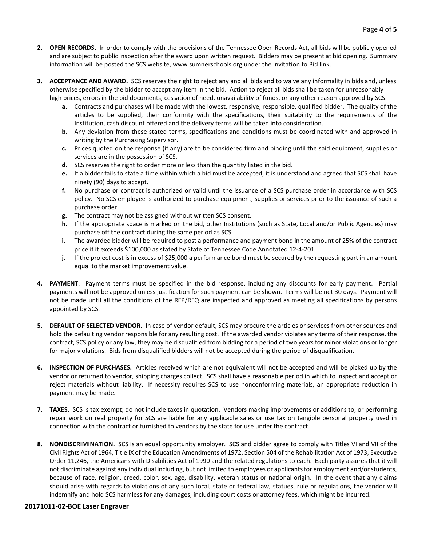- **2. OPEN RECORDS.** In order to comply with the provisions of the Tennessee Open Records Act, all bids will be publicly opened and are subject to public inspection after the award upon written request. Bidders may be present at bid opening. Summary information will be posted the SCS website, www.sumnerschools.org under the Invitation to Bid link.
- **3. ACCEPTANCE AND AWARD.** SCS reserves the right to reject any and all bids and to waive any informality in bids and, unless otherwise specified by the bidder to accept any item in the bid. Action to reject all bids shall be taken for unreasonably high prices, errors in the bid documents, cessation of need, unavailability of funds, or any other reason approved by SCS.
	- **a.** Contracts and purchases will be made with the lowest, responsive, responsible, qualified bidder. The quality of the articles to be supplied, their conformity with the specifications, their suitability to the requirements of the Institution, cash discount offered and the delivery terms will be taken into consideration.
	- **b.** Any deviation from these stated terms, specifications and conditions must be coordinated with and approved in writing by the Purchasing Supervisor.
	- **c.** Prices quoted on the response (if any) are to be considered firm and binding until the said equipment, supplies or services are in the possession of SCS.
	- **d.** SCS reserves the right to order more or less than the quantity listed in the bid.
	- **e.** If a bidder fails to state a time within which a bid must be accepted, it is understood and agreed that SCS shall have ninety (90) days to accept.
	- **f.** No purchase or contract is authorized or valid until the issuance of a SCS purchase order in accordance with SCS policy. No SCS employee is authorized to purchase equipment, supplies or services prior to the issuance of such a purchase order.
	- **g.** The contract may not be assigned without written SCS consent.
	- **h.** If the appropriate space is marked on the bid, other Institutions (such as State, Local and/or Public Agencies) may purchase off the contract during the same period as SCS.
	- **i.** The awarded bidder will be required to post a performance and payment bond in the amount of 25% of the contract price if it exceeds \$100,000 as stated by State of Tennessee Code Annotated 12-4-201.
	- **j.** If the project cost is in excess of \$25,000 a performance bond must be secured by the requesting part in an amount equal to the market improvement value.
- **4. PAYMENT**. Payment terms must be specified in the bid response, including any discounts for early payment. Partial payments will not be approved unless justification for such payment can be shown. Terms will be net 30 days. Payment will not be made until all the conditions of the RFP/RFQ are inspected and approved as meeting all specifications by persons appointed by SCS.
- **5. DEFAULT OF SELECTED VENDOR.** In case of vendor default, SCS may procure the articles or services from other sources and hold the defaulting vendor responsible for any resulting cost. If the awarded vendor violates any terms of their response, the contract, SCS policy or any law, they may be disqualified from bidding for a period of two years for minor violations or longer for major violations. Bids from disqualified bidders will not be accepted during the period of disqualification.
- **6. INSPECTION OF PURCHASES.** Articles received which are not equivalent will not be accepted and will be picked up by the vendor or returned to vendor, shipping charges collect. SCS shall have a reasonable period in which to inspect and accept or reject materials without liability. If necessity requires SCS to use nonconforming materials, an appropriate reduction in payment may be made.
- **7. TAXES.** SCS is tax exempt; do not include taxes in quotation. Vendors making improvements or additions to, or performing repair work on real property for SCS are liable for any applicable sales or use tax on tangible personal property used in connection with the contract or furnished to vendors by the state for use under the contract.
- **8. NONDISCRIMINATION.** SCS is an equal opportunity employer. SCS and bidder agree to comply with Titles VI and VII of the Civil Rights Act of 1964, Title IX of the Education Amendments of 1972, Section 504 of the Rehabilitation Act of 1973, Executive Order 11,246, the Americans with Disabilities Act of 1990 and the related regulations to each. Each party assures that it will not discriminate against any individual including, but not limited to employees or applicants for employment and/or students, because of race, religion, creed, color, sex, age, disability, veteran status or national origin. In the event that any claims should arise with regards to violations of any such local, state or federal law, statues, rule or regulations, the vendor will indemnify and hold SCS harmless for any damages, including court costs or attorney fees, which might be incurred.